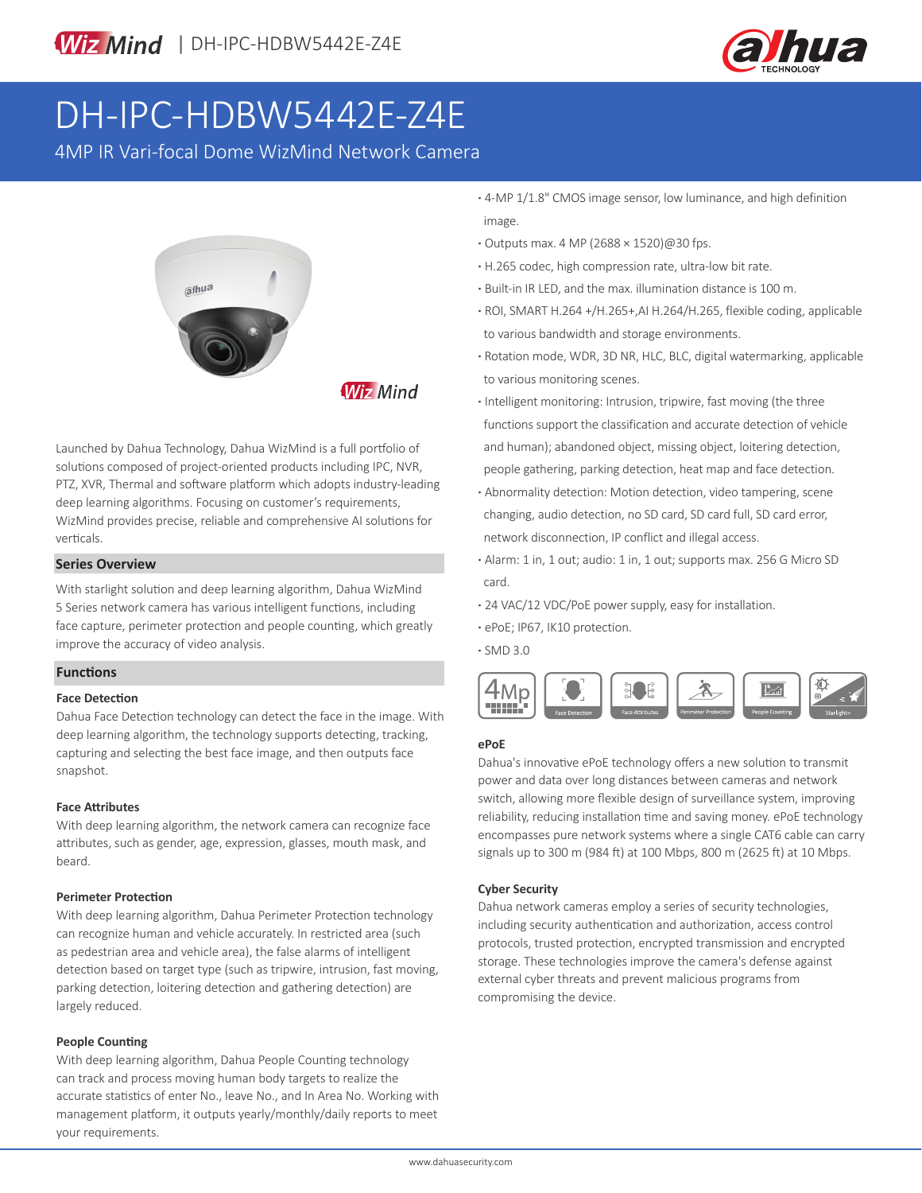

# DH-IPC-HDBW5442E-Z4E

4MP IR Vari-focal Dome WizMind Network Camera



Launched by Dahua Technology, Dahua WizMind is a full portfolio of solutions composed of project-oriented products including IPC, NVR, PTZ, XVR, Thermal and software platform which adopts industry-leading deep learning algorithms. Focusing on customer's requirements, WizMind provides precise, reliable and comprehensive AI solutions for verticals.

# **Series Overview**

With starlight solution and deep learning algorithm, Dahua WizMind 5 Series network camera has various intelligent functions, including face capture, perimeter protection and people counting, which greatly improve the accuracy of video analysis.

## **Functions**

## **Face Detection**

Dahua Face Detection technology can detect the face in the image. With deep learning algorithm, the technology supports detecting, tracking, capturing and selecting the best face image, and then outputs face snapshot.

## **Face Attributes**

With deep learning algorithm, the network camera can recognize face attributes, such as gender, age, expression, glasses, mouth mask, and beard.

## **Perimeter Protection**

With deep learning algorithm, Dahua Perimeter Protection technology can recognize human and vehicle accurately. In restricted area (such as pedestrian area and vehicle area), the false alarms of intelligent detection based on target type (such as tripwire, intrusion, fast moving, parking detection, loitering detection and gathering detection) are largely reduced.

# **People Counting**

With deep learning algorithm, Dahua People Counting technology can track and process moving human body targets to realize the accurate statistics of enter No., leave No., and In Area No. Working with management platform, it outputs yearly/monthly/daily reports to meet your requirements.

- **·** 4-MP 1/1.8" CMOS image sensor, low luminance, and high definition image.
- **·** Outputs max. 4 MP (2688 × 1520)@30 fps.
- **·** H.265 codec, high compression rate, ultra-low bit rate.
- **·** Built-in IR LED, and the max. illumination distance is 100 m.
- **·** ROI, SMART H.264 +/H.265+,AI H.264/H.265, flexible coding, applicable to various bandwidth and storage environments.
- **·** Rotation mode, WDR, 3D NR, HLC, BLC, digital watermarking, applicable to various monitoring scenes.
- **·** Intelligent monitoring: Intrusion, tripwire, fast moving (the three functions support the classification and accurate detection of vehicle and human); abandoned object, missing object, loitering detection, people gathering, parking detection, heat map and face detection.
- **·** Abnormality detection: Motion detection, video tampering, scene changing, audio detection, no SD card, SD card full, SD card error, network disconnection, IP conflict and illegal access.
- **·** Alarm: 1 in, 1 out; audio: 1 in, 1 out; supports max. 256 G Micro SD card.
- **·** 24 VAC/12 VDC/PoE power supply, easy for installation.
- **·** ePoE; IP67, IK10 protection.
- **·** SMD 3.0



# **ePoE**

Dahua's innovative ePoE technology offers a new solution to transmit power and data over long distances between cameras and network switch, allowing more flexible design of surveillance system, improving reliability, reducing installation time and saving money. ePoE technology encompasses pure network systems where a single CAT6 cable can carry signals up to 300 m (984 ft) at 100 Mbps, 800 m (2625 ft) at 10 Mbps.

## **Cyber Security**

Dahua network cameras employ a series of security technologies, including security authentication and authorization, access control protocols, trusted protection, encrypted transmission and encrypted storage. These technologies improve the camera's defense against external cyber threats and prevent malicious programs from compromising the device.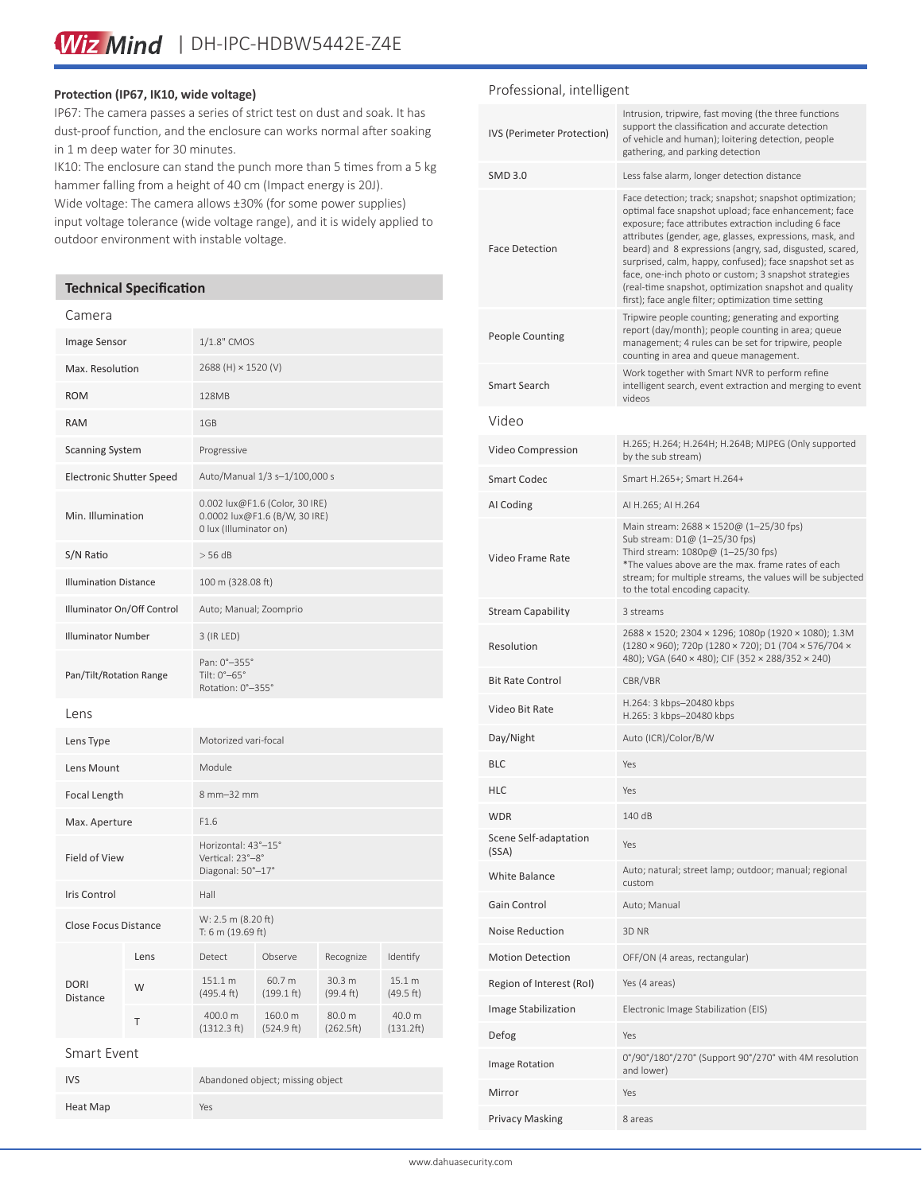# **Protection (IP67, IK10, wide voltage)**

IP67: The camera passes a series of strict test on dust and soak. It has dust-proof function, and the enclosure can works normal after soaking in 1 m deep water for 30 minutes.

IK10: The enclosure can stand the punch more than 5 times from a 5 kg hammer falling from a height of 40 cm (Impact energy is 20J).

Wide voltage: The camera allows ±30% (for some power supplies) input voltage tolerance (wide voltage range), and it is widely applied to outdoor environment with instable voltage.

# **Technical Specification**

#### Camera

| Image Sensor                    |      | 1/1.8" CMOS                                                                               |                       |                     |                     |
|---------------------------------|------|-------------------------------------------------------------------------------------------|-----------------------|---------------------|---------------------|
| Max. Resolution                 |      | 2688 (H) × 1520 (V)                                                                       |                       |                     |                     |
| <b>ROM</b>                      |      | 128MB                                                                                     |                       |                     |                     |
| <b>RAM</b>                      |      | 1GB                                                                                       |                       |                     |                     |
| <b>Scanning System</b>          |      | Progressive                                                                               |                       |                     |                     |
| <b>Electronic Shutter Speed</b> |      | Auto/Manual 1/3 s-1/100,000 s                                                             |                       |                     |                     |
| Min. Illumination               |      | 0.002 lux@F1.6 (Color, 30 IRE)<br>0.0002 lux@F1.6 (B/W, 30 IRE)<br>0 lux (Illuminator on) |                       |                     |                     |
| S/N Ratio                       |      | $>$ 56 dB                                                                                 |                       |                     |                     |
| <b>Illumination Distance</b>    |      | 100 m (328.08 ft)                                                                         |                       |                     |                     |
| Illuminator On/Off Control      |      | Auto; Manual; Zoomprio                                                                    |                       |                     |                     |
| <b>Illuminator Number</b>       |      | 3 (IR LED)                                                                                |                       |                     |                     |
| Pan/Tilt/Rotation Range         |      | Pan: 0°-355°<br>Tilt: 0°-65°<br>Rotation: 0°-355°                                         |                       |                     |                     |
| Lens                            |      |                                                                                           |                       |                     |                     |
| Lens Type                       |      | Motorized vari-focal                                                                      |                       |                     |                     |
| Lens Mount                      |      | Module                                                                                    |                       |                     |                     |
| Focal Length                    |      | 8 mm-32 mm                                                                                |                       |                     |                     |
| Max. Aperture                   |      | F1.6                                                                                      |                       |                     |                     |
| Field of View                   |      | Horizontal: 43°-15°<br>Vertical: 23°-8°<br>Diagonal: 50°-17°                              |                       |                     |                     |
| <b>Iris Control</b>             |      | Hall                                                                                      |                       |                     |                     |
| <b>Close Focus Distance</b>     |      | W: 2.5 m (8.20 ft)<br>T: 6 m (19.69 ft)                                                   |                       |                     |                     |
| <b>DORI</b><br>Distance         | Lens | Detect                                                                                    | Observe               | Recognize           | Identify            |
|                                 | W    | 151.1 m<br>(495.4 ft)                                                                     | 60.7 m<br>(199.1 ft)  | 30.3 m<br>(99.4 ft) | 15.1 m<br>(49.5 ft) |
|                                 | T    | 400.0 m<br>(1312.3 ft)                                                                    | 160.0 m<br>(524.9 ft) | 80.0 m<br>(262.5ft) | 40.0 m<br>(131.2ft) |
| Smart Event                     |      |                                                                                           |                       |                     |                     |

| <b>IVS</b> | Abandoned object; missing object |
|------------|----------------------------------|
| Heat Map   | Yes                              |

# Professional, intelligent

| IVS (Perimeter Protection)     | Intrusion, tripwire, fast moving (the three functions<br>support the classification and accurate detection<br>of vehicle and human); loitering detection, people<br>gathering, and parking detection                                                                                                                                                                                                                                                                                                                                   |  |  |
|--------------------------------|----------------------------------------------------------------------------------------------------------------------------------------------------------------------------------------------------------------------------------------------------------------------------------------------------------------------------------------------------------------------------------------------------------------------------------------------------------------------------------------------------------------------------------------|--|--|
| <b>SMD 3.0</b>                 | Less false alarm, longer detection distance                                                                                                                                                                                                                                                                                                                                                                                                                                                                                            |  |  |
| <b>Face Detection</b>          | Face detection; track; snapshot; snapshot optimization;<br>optimal face snapshot upload; face enhancement; face<br>exposure; face attributes extraction including 6 face<br>attributes (gender, age, glasses, expressions, mask, and<br>beard) and 8 expressions (angry, sad, disgusted, scared,<br>surprised, calm, happy, confused); face snapshot set as<br>face, one-inch photo or custom; 3 snapshot strategies<br>(real-time snapshot, optimization snapshot and quality<br>first); face angle filter; optimization time setting |  |  |
| <b>People Counting</b>         | Tripwire people counting; generating and exporting<br>report (day/month); people counting in area; queue<br>management; 4 rules can be set for tripwire, people<br>counting in area and queue management.                                                                                                                                                                                                                                                                                                                              |  |  |
| Smart Search                   | Work together with Smart NVR to perform refine<br>intelligent search, event extraction and merging to event<br>videos                                                                                                                                                                                                                                                                                                                                                                                                                  |  |  |
| Video                          |                                                                                                                                                                                                                                                                                                                                                                                                                                                                                                                                        |  |  |
| Video Compression              | H.265; H.264; H.264H; H.264B; MJPEG (Only supported<br>by the sub stream)                                                                                                                                                                                                                                                                                                                                                                                                                                                              |  |  |
| <b>Smart Codec</b>             | Smart H.265+; Smart H.264+                                                                                                                                                                                                                                                                                                                                                                                                                                                                                                             |  |  |
| AI Coding                      | AI H.265; AI H.264                                                                                                                                                                                                                                                                                                                                                                                                                                                                                                                     |  |  |
| Video Frame Rate               | Main stream: 2688 × 1520@ (1-25/30 fps)<br>Sub stream: D1@ (1-25/30 fps)<br>Third stream: 1080p@ (1-25/30 fps)<br>*The values above are the max. frame rates of each<br>stream; for multiple streams, the values will be subjected<br>to the total encoding capacity.                                                                                                                                                                                                                                                                  |  |  |
| <b>Stream Capability</b>       | 3 streams                                                                                                                                                                                                                                                                                                                                                                                                                                                                                                                              |  |  |
| Resolution                     | 2688 × 1520; 2304 × 1296; 1080p (1920 × 1080); 1.3M<br>(1280 × 960); 720p (1280 × 720); D1 (704 × 576/704 ×<br>480); VGA (640 × 480); CIF (352 × 288/352 × 240)                                                                                                                                                                                                                                                                                                                                                                        |  |  |
| <b>Bit Rate Control</b>        | CBR/VBR                                                                                                                                                                                                                                                                                                                                                                                                                                                                                                                                |  |  |
| Video Bit Rate                 | H.264: 3 kbps-20480 kbps<br>H.265: 3 kbps-20480 kbps                                                                                                                                                                                                                                                                                                                                                                                                                                                                                   |  |  |
| Day/Night                      | Auto (ICR)/Color/B/W                                                                                                                                                                                                                                                                                                                                                                                                                                                                                                                   |  |  |
| <b>BLC</b>                     | Yes                                                                                                                                                                                                                                                                                                                                                                                                                                                                                                                                    |  |  |
| HLC                            | Yes                                                                                                                                                                                                                                                                                                                                                                                                                                                                                                                                    |  |  |
| <b>WDR</b>                     | 140 dB                                                                                                                                                                                                                                                                                                                                                                                                                                                                                                                                 |  |  |
| Scene Self-adaptation<br>(SSA) | Yes                                                                                                                                                                                                                                                                                                                                                                                                                                                                                                                                    |  |  |
| White Balance                  | Auto; natural; street lamp; outdoor; manual; regional<br>custom                                                                                                                                                                                                                                                                                                                                                                                                                                                                        |  |  |
| Gain Control                   | Auto; Manual                                                                                                                                                                                                                                                                                                                                                                                                                                                                                                                           |  |  |
| <b>Noise Reduction</b>         | 3D <sub>NR</sub>                                                                                                                                                                                                                                                                                                                                                                                                                                                                                                                       |  |  |
| <b>Motion Detection</b>        | OFF/ON (4 areas, rectangular)                                                                                                                                                                                                                                                                                                                                                                                                                                                                                                          |  |  |
| Region of Interest (RoI)       | Yes (4 areas)                                                                                                                                                                                                                                                                                                                                                                                                                                                                                                                          |  |  |
| Image Stabilization            | Electronic Image Stabilization (EIS)                                                                                                                                                                                                                                                                                                                                                                                                                                                                                                   |  |  |
| Defog                          | Yes                                                                                                                                                                                                                                                                                                                                                                                                                                                                                                                                    |  |  |
| <b>Image Rotation</b>          | 0°/90°/180°/270° (Support 90°/270° with 4M resolution<br>and lower)                                                                                                                                                                                                                                                                                                                                                                                                                                                                    |  |  |
| Mirror                         | Yes                                                                                                                                                                                                                                                                                                                                                                                                                                                                                                                                    |  |  |
| <b>Privacy Masking</b>         | 8 areas                                                                                                                                                                                                                                                                                                                                                                                                                                                                                                                                |  |  |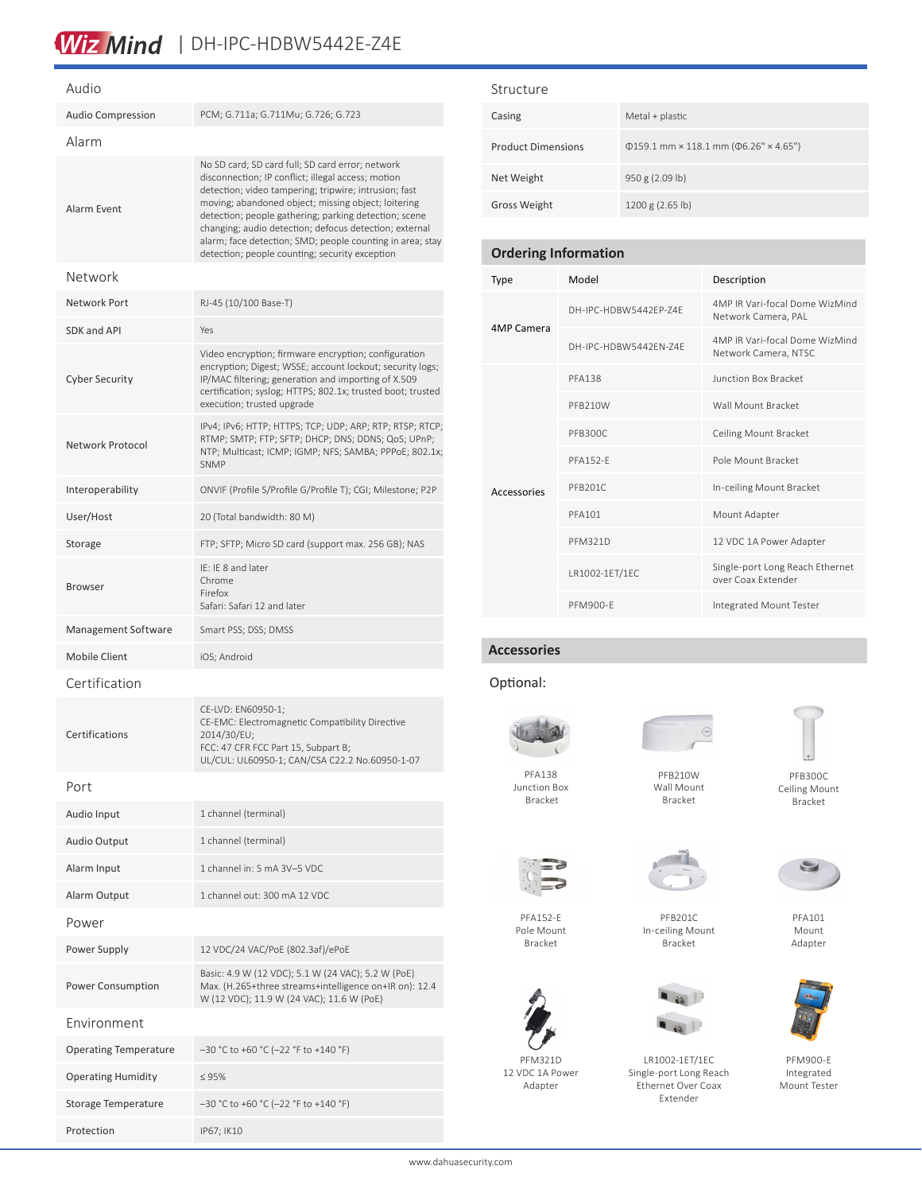# Wiz Mind | DH-IPC-HDBW5442E-Z4E

| Audio                        |                                                                                                                                                                                                                                                                                                                                                                                                                                                          |  |  |
|------------------------------|----------------------------------------------------------------------------------------------------------------------------------------------------------------------------------------------------------------------------------------------------------------------------------------------------------------------------------------------------------------------------------------------------------------------------------------------------------|--|--|
| Audio Compression            | PCM; G.711a; G.711Mu; G.726; G.723                                                                                                                                                                                                                                                                                                                                                                                                                       |  |  |
| Alarm                        |                                                                                                                                                                                                                                                                                                                                                                                                                                                          |  |  |
| Alarm Event                  | No SD card; SD card full; SD card error; network<br>disconnection; IP conflict; illegal access; motion<br>detection; video tampering; tripwire; intrusion; fast<br>moving; abandoned object; missing object; loitering<br>detection; people gathering; parking detection; scene<br>changing; audio detection; defocus detection; external<br>alarm; face detection; SMD; people counting in area; stay<br>detection; people counting; security exception |  |  |
| Network                      |                                                                                                                                                                                                                                                                                                                                                                                                                                                          |  |  |
| Network Port                 | RJ-45 (10/100 Base-T)                                                                                                                                                                                                                                                                                                                                                                                                                                    |  |  |
| SDK and API                  | Yes                                                                                                                                                                                                                                                                                                                                                                                                                                                      |  |  |
| <b>Cyber Security</b>        | Video encryption; firmware encryption; configuration<br>encryption; Digest; WSSE; account lockout; security logs;<br>IP/MAC filtering; generation and importing of X.509<br>certification; syslog; HTTPS; 802.1x; trusted boot; trusted<br>execution; trusted upgrade                                                                                                                                                                                    |  |  |
| Network Protocol             | IPv4; IPv6; HTTP; HTTPS; TCP; UDP; ARP; RTP; RTSP; RTCP;<br>RTMP; SMTP; FTP; SFTP; DHCP; DNS; DDNS; QoS; UPnP;<br>NTP; Multicast; ICMP; IGMP; NFS; SAMBA; PPPoE; 802.1x;<br><b>SNMP</b>                                                                                                                                                                                                                                                                  |  |  |
| Interoperability             | ONVIF (Profile S/Profile G/Profile T); CGI; Milestone; P2P                                                                                                                                                                                                                                                                                                                                                                                               |  |  |
| User/Host                    | 20 (Total bandwidth: 80 M)                                                                                                                                                                                                                                                                                                                                                                                                                               |  |  |
| Storage                      | FTP; SFTP; Micro SD card (support max. 256 GB); NAS                                                                                                                                                                                                                                                                                                                                                                                                      |  |  |
| <b>Browser</b>               | IE: IE 8 and later<br>Chrome<br>Firefox<br>Safari: Safari 12 and later                                                                                                                                                                                                                                                                                                                                                                                   |  |  |
| Management Software          | Smart PSS; DSS; DMSS                                                                                                                                                                                                                                                                                                                                                                                                                                     |  |  |
| <b>Mobile Client</b>         | iOS; Android                                                                                                                                                                                                                                                                                                                                                                                                                                             |  |  |
| Certification                |                                                                                                                                                                                                                                                                                                                                                                                                                                                          |  |  |
| Certifications               | CE-LVD: EN60950-1;<br>CE-EMC: Electromagnetic Compatibility Directive<br>2014/30/EU;<br>FCC: 47 CFR FCC Part 15, Subpart B;<br>UL/CUL: UL60950-1; CAN/CSA C22.2 No.60950-1-07                                                                                                                                                                                                                                                                            |  |  |
| Port                         |                                                                                                                                                                                                                                                                                                                                                                                                                                                          |  |  |
| Audio Input                  | 1 channel (terminal)                                                                                                                                                                                                                                                                                                                                                                                                                                     |  |  |
| <b>Audio Output</b>          | 1 channel (terminal)                                                                                                                                                                                                                                                                                                                                                                                                                                     |  |  |
| Alarm Input                  | 1 channel in: 5 mA 3V-5 VDC                                                                                                                                                                                                                                                                                                                                                                                                                              |  |  |
| Alarm Output                 | 1 channel out: 300 mA 12 VDC                                                                                                                                                                                                                                                                                                                                                                                                                             |  |  |
| Power                        |                                                                                                                                                                                                                                                                                                                                                                                                                                                          |  |  |
| Power Supply                 | 12 VDC/24 VAC/PoE (802.3af)/ePoE                                                                                                                                                                                                                                                                                                                                                                                                                         |  |  |
| Power Consumption            | Basic: 4.9 W (12 VDC); 5.1 W (24 VAC); 5.2 W (PoE)<br>Max. (H.265+three streams+intelligence on+IR on): 12.4<br>W (12 VDC); 11.9 W (24 VAC); 11.6 W (PoE)                                                                                                                                                                                                                                                                                                |  |  |
| Environment                  |                                                                                                                                                                                                                                                                                                                                                                                                                                                          |  |  |
| <b>Operating Temperature</b> | $-30$ °C to +60 °C (-22 °F to +140 °F)                                                                                                                                                                                                                                                                                                                                                                                                                   |  |  |
| <b>Operating Humidity</b>    | $\leq 95\%$                                                                                                                                                                                                                                                                                                                                                                                                                                              |  |  |
| Storage Temperature          | -30 °C to +60 °C (-22 °F to +140 °F)                                                                                                                                                                                                                                                                                                                                                                                                                     |  |  |

Protection IP67; IK10

# Structure

| Casing                    | Metal + plastic                                    |
|---------------------------|----------------------------------------------------|
| <b>Product Dimensions</b> | $\phi$ 159.1 mm × 118.1 mm ( $\phi$ 6.26" × 4.65") |
| Net Weight                | 950 g (2.09 lb)                                    |
| Gross Weight              | 1200 g (2.65 lb)                                   |

# **Ordering Information**

| Type        | Model                 | Description                                            |
|-------------|-----------------------|--------------------------------------------------------|
| 4MP Camera  | DH-IPC-HDBW5442FP-74F | 4MP IR Vari-focal Dome WizMind<br>Network Camera, PAL  |
|             | DH-IPC-HDBW5442FN-74F | 4MP IR Vari-focal Dome WizMind<br>Network Camera, NTSC |
|             | <b>PFA138</b>         | <b>Junction Box Bracket</b>                            |
|             | PFB210W               | Wall Mount Bracket                                     |
|             | PFB300C               | Ceiling Mount Bracket                                  |
|             | <b>PFA152-F</b>       | Pole Mount Bracket                                     |
| Accessories | PFB201C               | In-ceiling Mount Bracket                               |
|             | <b>PFA101</b>         | Mount Adapter                                          |
|             | <b>PFM321D</b>        | 12 VDC 1A Power Adapter                                |
|             | LR1002-1ET/1EC        | Single-port Long Reach Ethernet<br>over Coax Extender  |
|             | <b>PFM900-F</b>       | Integrated Mount Tester                                |

# **Accessories**

# Optional:



PFA138 Junction Box Bracket



PFB210W Wall Mount Bracket

PFB300C



PFA152-E Pole Mount Bracket



PFM321D 12 VDC 1A Power Adapter

PFB201C



LR1002-1ET/1EC Single-port Long Reach Ethernet Over Coax Extender

Ceiling Mount Bracket



PFA101 Mount Adapter



PFM900-E Integrated Mount Tester

In-ceiling Mount Bracket